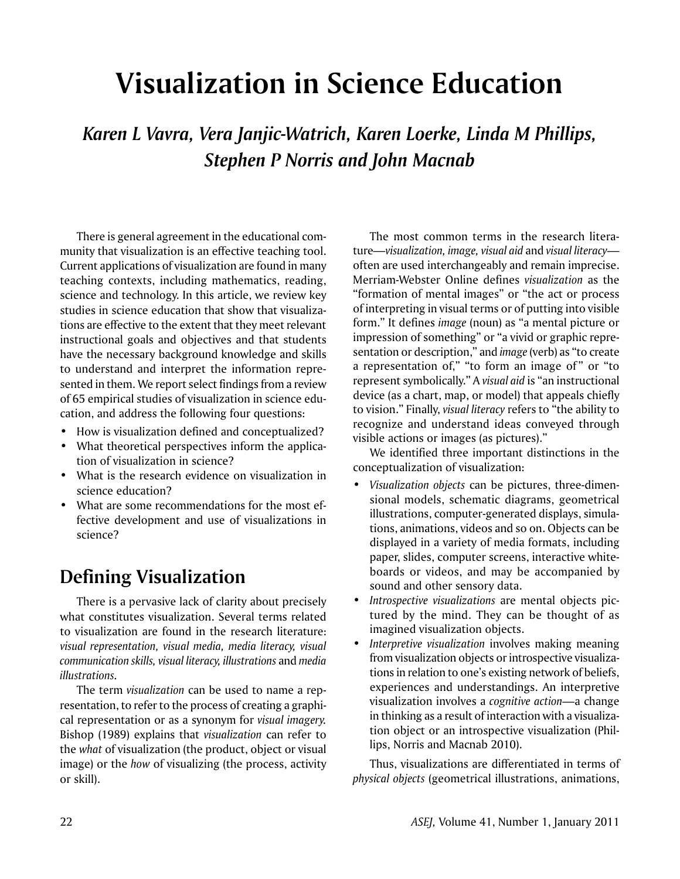# **Visualization in Science Education**

*Karen L Vavra, Vera Janjic-Watrich, Karen Loerke, Linda M Phillips, Stephen P Norris and John Macnab*

There is general agreement in the educational community that visualization is an effective teaching tool. Current applications of visualization are found in many teaching contexts, including mathematics, reading, science and technology. In this article, we review key studies in science education that show that visualizations are effective to the extent that they meet relevant instructional goals and objectives and that students have the necessary background knowledge and skills to understand and interpret the information represented in them. We report select findings from a review of 65 empirical studies of visualization in science education, and address the following four questions:

- How is visualization defined and conceptualized?
- What theoretical perspectives inform the application of visualization in science?
- • What is the research evidence on visualization in science education?
- What are some recommendations for the most effective development and use of visualizations in science?

## **Defining Visualization**

There is a pervasive lack of clarity about precisely what constitutes visualization. Several terms related to visualization are found in the research literature: *visual representation, visual media, media literacy, visual*   $comm$ *unication skills, visual literacy, illustrations* and *media illustrations.*

The term *visualization* can be used to name a representation, to refer to the process of creating a graphical representation or as a synonym for *visual imagery.* Bishop (1989) explains that *visualization* can refer to the *what* of visualization (the product, object or visual image) or the *how* of visualizing (the process, activity or skill).

The most common terms in the research literature—visualization, image, visual aid and visual literacy often are used interchangeably and remain imprecise. Merriam-Webster Online defines *visualization* as the "formation of mental images" or "the act or process of interpreting in visual terms or of putting into visible form." It defines *image* (noun) as "a mental picture or impression of something" or "a vivid or graphic representation or description," and *image* (verb) as "to create a representation of," "to form an image of" or "to represent symbolically." A *visual aid* is "an instructional device (as a chart, map, or model) that appeals chiefly to vision." Finally, *visual literacy* refers to "the ability to recognize and understand ideas conveyed through visible actions or images (as pictures)."

We identified three important distinctions in the conceptualization of visualization:

- • *Visualization objects* can be pictures, three-dimensional models, schematic diagrams, geometrical illustrations, computer-generated displays, simulations, animations, videos and so on. Objects can be displayed in a variety of media formats, including paper, slides, computer screens, interactive whiteboards or videos, and may be accompanied by sound and other sensory data.
- Introspective visualizations are mental objects pictured by the mind. They can be thought of as imagined visualization objects.
- • *Interpretive visualization* involves making meaning from visualization objects or introspective visualizations in relation to one's existing network of beliefs, experiences and understandings. An interpretive visualization involves a *cognitive action*—a change in thinking as a result of interaction with a visualization object or an introspective visualization (Phillips, Norris and Macnab 2010).

Thus, visualizations are differentiated in terms of *physical objects* (geometrical illustrations, animations,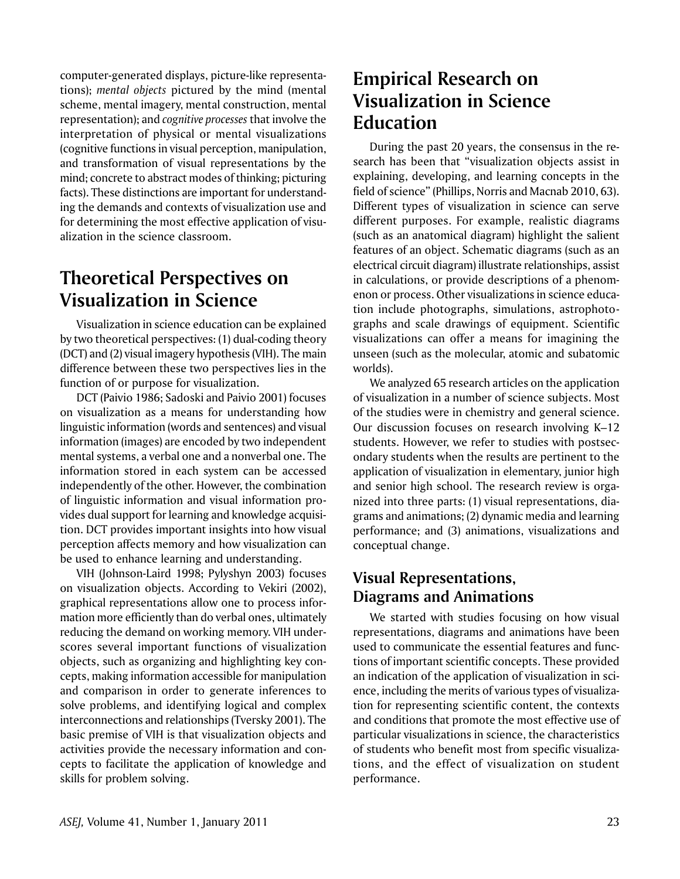computer-generated displays, picture-like representations); *mental objects* pictured by the mind (mental scheme, mental imagery, mental construction, mental representation); and *cognitive processes* that involve the interpretation of physical or mental visualizations (cognitive functions in visual perception, manipulation, and transformation of visual representations by the mind; concrete to abstract modes of thinking; picturing facts). These distinctions are important for understanding the demands and contexts of visualization use and for determining the most effective application of visualization in the science classroom.

# **Theoretical Perspectives on Visualization in Science**

Visualization in science education can be explained by two theoretical perspectives: (1) dual-coding theory (DCT) and (2) visual imagery hypothesis (VIH). The main difference between these two perspectives lies in the function of or purpose for visualization.

DCT (Paivio 1986; Sadoski and Paivio 2001) focuses on visualization as a means for understanding how linguistic information (words and sentences) and visual information (images) are encoded by two independent mental systems, a verbal one and a nonverbal one. The information stored in each system can be accessed independently of the other. However, the combination of linguistic information and visual information provides dual support for learning and knowledge acquisition. DCT provides important insights into how visual perception affects memory and how visualization can be used to enhance learning and understanding.

VIH (Johnson-Laird 1998; Pylyshyn 2003) focuses on visualization objects. According to Vekiri (2002), graphical representations allow one to process information more efficiently than do verbal ones, ultimately reducing the demand on working memory. VIH underscores several important functions of visualization objects, such as organizing and highlighting key concepts, making information accessible for manipulation and comparison in order to generate inferences to solve problems, and identifying logical and complex interconnections and relationships (Tversky 2001). The basic premise of VIH is that visualization objects and activities provide the necessary information and concepts to facilitate the application of knowledge and skills for problem solving.

# **Empirical Research on Visualization in Science Education**

During the past 20 years, the consensus in the research has been that "visualization objects assist in explaining, developing, and learning concepts in the field of science" (Phillips, Norris and Macnab 2010, 63). Different types of visualization in science can serve different purposes. For example, realistic diagrams (such as an anatomical diagram) highlight the salient features of an object. Schematic diagrams (such as an electrical circuit diagram) illustrate relationships, assist in calculations, or provide descriptions of a phenomenon or process. Other visualizations in science education include photographs, simulations, astrophotographs and scale drawings of equipment. Scientific visualizations can offer a means for imagining the unseen (such as the molecular, atomic and subatomic worlds).

We analyzed 65 research articles on the application of visualization in a number of science subjects. Most of the studies were in chemistry and general science. Our discussion focuses on research involving K–12 students. However, we refer to studies with postsecondary students when the results are pertinent to the application of visualization in elementary, junior high and senior high school. The research review is organized into three parts: (1) visual representations, diagrams and animations; (2) dynamic media and learning performance; and (3) animations, visualizations and conceptual change.

## **Visual Representations, Diagrams and Animations**

We started with studies focusing on how visual representations, diagrams and animations have been used to communicate the essential features and functions of important scientific concepts. These provided an indication of the application of visualization in science, including the merits of various types of visualization for representing scientific content, the contexts and conditions that promote the most effective use of particular visualizations in science, the characteristics of students who benefit most from specific visualizations, and the effect of visualization on student performance.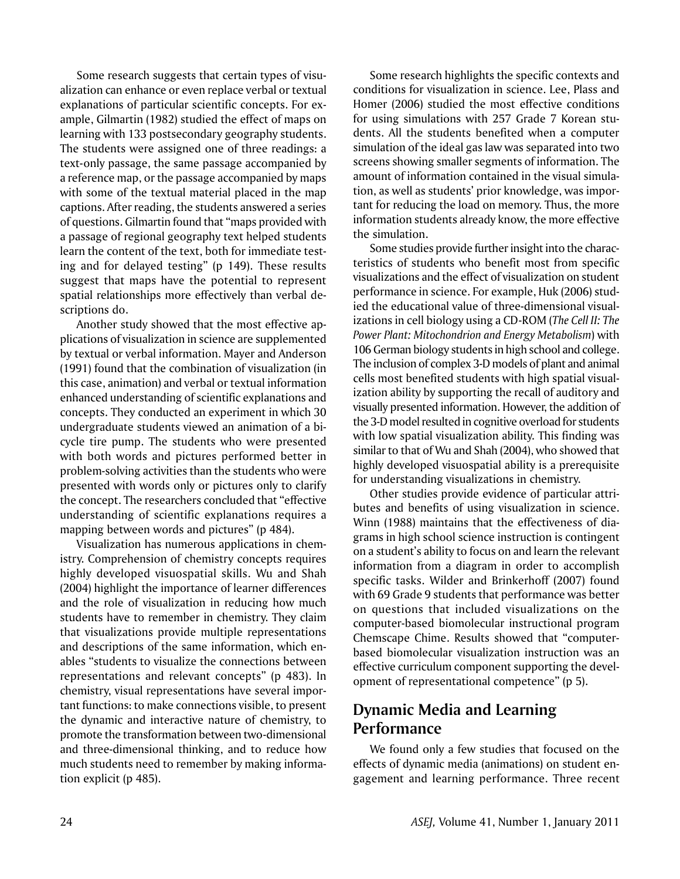Some research suggests that certain types of visualization can enhance or even replace verbal or textual explanations of particular scientific concepts. For example, Gilmartin (1982) studied the effect of maps on learning with 133 postsecondary geography students. The students were assigned one of three readings: a text-only passage, the same passage accompanied by a reference map, or the passage accompanied by maps with some of the textual material placed in the map captions. After reading, the students answered a series of questions. Gilmartin found that "maps provided with a passage of regional geography text helped students learn the content of the text, both for immediate testing and for delayed testing" (p 149). These results suggest that maps have the potential to represent spatial relationships more effectively than verbal descriptions do.

Another study showed that the most effective applications of visualization in science are supplemented by textual or verbal information. Mayer and Anderson (1991) found that the combination of visualization (in this case, animation) and verbal or textual information enhanced understanding of scientific explanations and concepts. They conducted an experiment in which 30 undergraduate students viewed an animation of a bicycle tire pump. The students who were presented with both words and pictures performed better in problem-solving activities than the students who were presented with words only or pictures only to clarify the concept. The researchers concluded that "effective understanding of scientific explanations requires a mapping between words and pictures" (p 484).

Visualization has numerous applications in chemistry. Comprehension of chemistry concepts requires highly developed visuospatial skills. Wu and Shah (2004) highlight the importance of learner differences and the role of visualization in reducing how much students have to remember in chemistry. They claim that visualizations provide multiple representations and descriptions of the same information, which enables "students to visualize the connections between representations and relevant concepts" (p 483). In chemistry, visual representations have several important functions: to make connections visible, to present the dynamic and interactive nature of chemistry, to promote the transformation between two-dimensional and three-dimensional thinking, and to reduce how much students need to remember by making information explicit (p 485).

Some research highlights the specific contexts and conditions for visualization in science. Lee, Plass and Homer (2006) studied the most effective conditions for using simulations with 257 Grade 7 Korean students. All the students benefited when a computer simulation of the ideal gas law was separated into two screens showing smaller segments of information. The amount of information contained in the visual simulation, as well as students' prior knowledge, was important for reducing the load on memory. Thus, the more information students already know, the more effective the simulation.

Some studies provide further insight into the characteristics of students who benefit most from specific visualizations and the effect of visualization on student performance in science. For example, Huk (2006) studied the educational value of three-dimensional visualizations in cell biology using a CD-ROM (*The Cell II: The Power Plant: Mitochondrion and Energy Metabolism*) with 106 German biology students in high school and college. The inclusion of complex 3-D models of plant and animal cells most benefited students with high spatial visualization ability by supporting the recall of auditory and visually presented information. However, the addition of the 3-D model resulted in cognitive overload for students with low spatial visualization ability. This finding was similar to that of Wu and Shah (2004), who showed that highly developed visuospatial ability is a prerequisite for understanding visualizations in chemistry.

Other studies provide evidence of particular attributes and benefits of using visualization in science. Winn (1988) maintains that the effectiveness of diagrams in high school science instruction is contingent on a student's ability to focus on and learn the relevant information from a diagram in order to accomplish specific tasks. Wilder and Brinkerhoff (2007) found with 69 Grade 9 students that performance was better on questions that included visualizations on the computer-based biomolecular instructional program Chemscape Chime. Results showed that "computerbased biomolecular visualization instruction was an effective curriculum component supporting the development of representational competence" (p 5).

## **Dynamic Media and Learning Performance**

We found only a few studies that focused on the effects of dynamic media (animations) on student engagement and learning performance. Three recent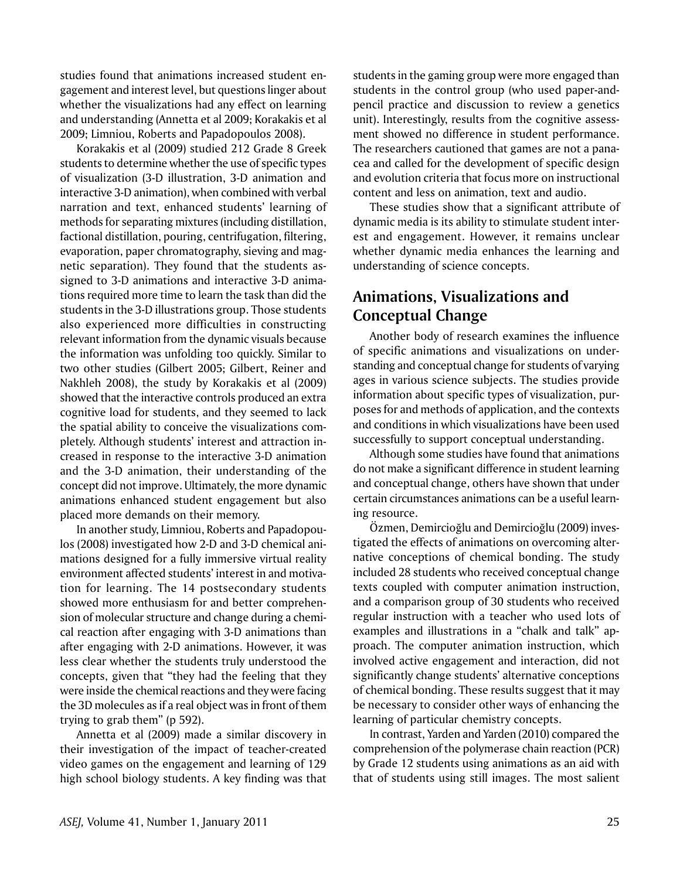studies found that animations increased student engagement and interest level, but questions linger about whether the visualizations had any effect on learning and understanding (Annetta et al 2009; Korakakis et al 2009; Limniou, Roberts and Papadopoulos 2008).

Korakakis et al (2009) studied 212 Grade 8 Greek students to determine whether the use of specific types of visualization (3-D illustration, 3-D animation and interactive 3-D animation), when combined with verbal narration and text, enhanced students' learning of methods for separating mixtures (including distillation, factional distillation, pouring, centrifugation, filtering, evaporation, paper chromatography, sieving and magnetic separation). They found that the students assigned to 3-D animations and interactive 3-D animations required more time to learn the task than did the students in the 3-D illustrations group. Those students also experienced more difficulties in constructing relevant information from the dynamic visuals because the information was unfolding too quickly. Similar to two other studies (Gilbert 2005; Gilbert, Reiner and Nakhleh 2008), the study by Korakakis et al (2009) showed that the interactive controls produced an extra cognitive load for students, and they seemed to lack the spatial ability to conceive the visualizations completely. Although students' interest and attraction increased in response to the interactive 3-D animation and the 3-D animation, their understanding of the concept did not improve. Ultimately, the more dynamic animations enhanced student engagement but also placed more demands on their memory.

In another study, Limniou, Roberts and Papadopoulos (2008) investigated how 2-D and 3-D chemical animations designed for a fully immersive virtual reality environment affected students' interest in and motivation for learning. The 14 postsecondary students showed more enthusiasm for and better comprehension of molecular structure and change during a chemical reaction after engaging with 3-D animations than after engaging with 2-D animations. However, it was less clear whether the students truly understood the concepts, given that "they had the feeling that they were inside the chemical reactions and they were facing the 3D molecules as if a real object was in front of them trying to grab them" (p 592).

Annetta et al (2009) made a similar discovery in their investigation of the impact of teacher-created video games on the engagement and learning of 129 high school biology students. A key finding was that students in the gaming group were more engaged than students in the control group (who used paper-andpencil practice and discussion to review a genetics unit). Interestingly, results from the cognitive assessment showed no difference in student performance. The researchers cautioned that games are not a panacea and called for the development of specific design and evolution criteria that focus more on instructional content and less on animation, text and audio.

These studies show that a significant attribute of dynamic media is its ability to stimulate student interest and engagement. However, it remains unclear whether dynamic media enhances the learning and understanding of science concepts.

#### **Animations, Visualizations and Conceptual Change**

Another body of research examines the influence of specific animations and visualizations on understanding and conceptual change for students of varying ages in various science subjects. The studies provide information about specific types of visualization, purposes for and methods of application, and the contexts and conditions in which visualizations have been used successfully to support conceptual understanding.

Although some studies have found that animations do not make a significant difference in student learning and conceptual change, others have shown that under certain circumstances animations can be a useful learning resource.

Özmen, Demircioğlu and Demircioğlu (2009) investigated the effects of animations on overcoming alternative conceptions of chemical bonding. The study included 28 students who received conceptual change texts coupled with computer animation instruction, and a comparison group of 30 students who received regular instruction with a teacher who used lots of examples and illustrations in a "chalk and talk" approach. The computer animation instruction, which involved active engagement and interaction, did not significantly change students' alternative conceptions of chemical bonding. These results suggest that it may be necessary to consider other ways of enhancing the learning of particular chemistry concepts.

In contrast, Yarden and Yarden (2010) compared the comprehension of the polymerase chain reaction (PCR) by Grade 12 students using animations as an aid with that of students using still images. The most salient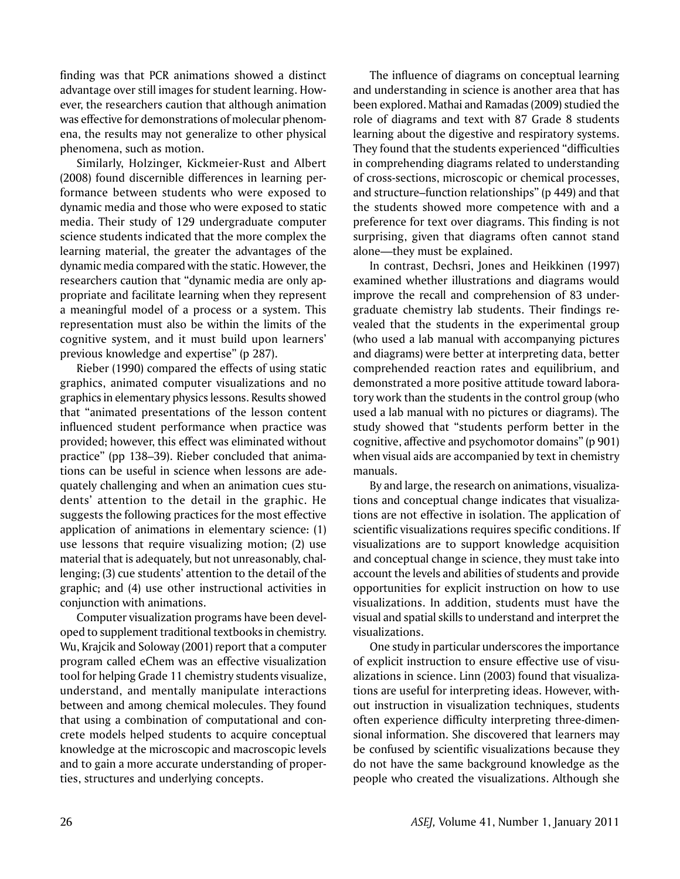finding was that PCR animations showed a distinct advantage over still images for student learning. However, the researchers caution that although animation was effective for demonstrations of molecular phenomena, the results may not generalize to other physical phenomena, such as motion.

Similarly, Holzinger, Kickmeier-Rust and Albert (2008) found discernible differences in learning performance between students who were exposed to dynamic media and those who were exposed to static media. Their study of 129 undergraduate computer science students indicated that the more complex the learning material, the greater the advantages of the dynamic media compared with the static. However, the researchers caution that "dynamic media are only appropriate and facilitate learning when they represent a meaningful model of a process or a system. This representation must also be within the limits of the cognitive system, and it must build upon learners' previous knowledge and expertise" (p 287).

Rieber (1990) compared the effects of using static graphics, animated computer visualizations and no graphics in elementary physics lessons. Results showed that "animated presentations of the lesson content influenced student performance when practice was provided; however, this effect was eliminated without practice" (pp 138–39). Rieber concluded that animations can be useful in science when lessons are adequately challenging and when an animation cues students' attention to the detail in the graphic. He suggests the following practices for the most effective application of animations in elementary science: (1) use lessons that require visualizing motion; (2) use material that is adequately, but not unreasonably, challenging; (3) cue students' attention to the detail of the graphic; and (4) use other instructional activities in conjunction with animations.

Computer visualization programs have been developed to supplement traditional textbooks in chemistry. Wu, Krajcik and Soloway (2001) report that a computer program called eChem was an effective visualization tool for helping Grade 11 chemistry students visualize, understand, and mentally manipulate interactions between and among chemical molecules. They found that using a combination of computational and concrete models helped students to acquire conceptual knowledge at the microscopic and macroscopic levels and to gain a more accurate understanding of properties, structures and underlying concepts.

The influence of diagrams on conceptual learning and understanding in science is another area that has been explored. Mathai and Ramadas (2009) studied the role of diagrams and text with 87 Grade 8 students learning about the digestive and respiratory systems. They found that the students experienced "difficulties in comprehending diagrams related to understanding of cross-sections, microscopic or chemical processes, and structure–function relationships" (p 449) and that the students showed more competence with and a preference for text over diagrams. This finding is not surprising, given that diagrams often cannot stand alone—they must be explained.

In contrast, Dechsri, Jones and Heikkinen (1997) examined whether illustrations and diagrams would improve the recall and comprehension of 83 undergraduate chemistry lab students. Their findings revealed that the students in the experimental group (who used a lab manual with accompanying pictures and diagrams) were better at interpreting data, better comprehended reaction rates and equilibrium, and demonstrated a more positive attitude toward laboratory work than the students in the control group (who used a lab manual with no pictures or diagrams). The study showed that "students perform better in the cognitive, affective and psychomotor domains" (p 901) when visual aids are accompanied by text in chemistry manuals.

By and large, the research on animations, visualizations and conceptual change indicates that visualizations are not effective in isolation. The application of scientific visualizations requires specific conditions. If visualizations are to support knowledge acquisition and conceptual change in science, they must take into account the levels and abilities of students and provide opportunities for explicit instruction on how to use visualizations. In addition, students must have the visual and spatial skills to understand and interpret the visualizations.

One study in particular underscores the importance of explicit instruction to ensure effective use of visualizations in science. Linn (2003) found that visualizations are useful for interpreting ideas. However, without instruction in visualization techniques, students often experience difficulty interpreting three-dimensional information. She discovered that learners may be confused by scientific visualizations because they do not have the same background knowledge as the people who created the visualizations. Although she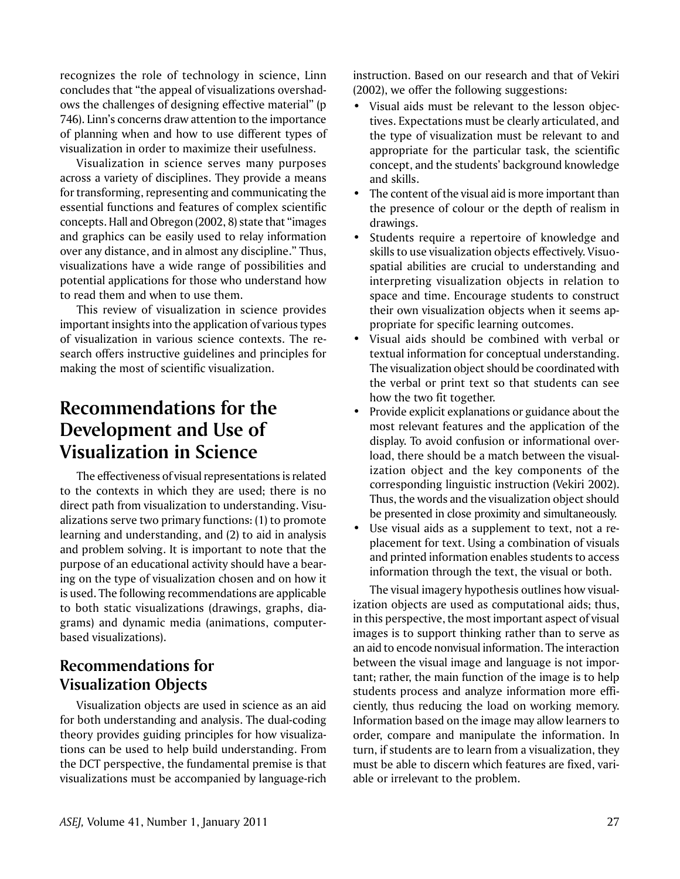recognizes the role of technology in science, Linn concludes that "the appeal of visualizations overshadows the challenges of designing effective material" (p 746). Linn's concerns draw attention to the importance of planning when and how to use different types of visualization in order to maximize their usefulness.

Visualization in science serves many purposes across a variety of disciplines. They provide a means for transforming, representing and communicating the essential functions and features of complex scientific concepts. Hall and Obregon (2002, 8) state that "images and graphics can be easily used to relay information over any distance, and in almost any discipline." Thus, visualizations have a wide range of possibilities and potential applications for those who understand how to read them and when to use them.

This review of visualization in science provides important insights into the application of various types of visualization in various science contexts. The research offers instructive guidelines and principles for making the most of scientific visualization.

# **Recommendations for the Development and Use of Visualization in Science**

The effectiveness of visual representations is related to the contexts in which they are used; there is no direct path from visualization to understanding. Visualizations serve two primary functions: (1) to promote learning and understanding, and (2) to aid in analysis and problem solving. It is important to note that the purpose of an educational activity should have a bearing on the type of visualization chosen and on how it is used. The following recommendations are applicable to both static visualizations (drawings, graphs, diagrams) and dynamic media (animations, computerbased visualizations).

#### **Recommendations for Visualization Objects**

Visualization objects are used in science as an aid for both understanding and analysis. The dual-coding theory provides guiding principles for how visualizations can be used to help build understanding. From the DCT perspective, the fundamental premise is that visualizations must be accompanied by language-rich instruction. Based on our research and that of Vekiri (2002), we offer the following suggestions:

- Visual aids must be relevant to the lesson objectives. Expectations must be clearly articulated, and the type of visualization must be relevant to and appropriate for the particular task, the scientific concept, and the students' background knowledge and skills.
- The content of the visual aid is more important than the presence of colour or the depth of realism in drawings.
- Students require a repertoire of knowledge and skills to use visualization objects effectively. Visuospatial abilities are crucial to understanding and interpreting visualization objects in relation to space and time. Encourage students to construct their own visualization objects when it seems appropriate for specific learning outcomes.
- Visual aids should be combined with verbal or textual information for conceptual understanding. The visualization object should be coordinated with the verbal or print text so that students can see how the two fit together.
- Provide explicit explanations or guidance about the most relevant features and the application of the display. To avoid confusion or informational overload, there should be a match between the visualization object and the key components of the corresponding linguistic instruction (Vekiri 2002). Thus, the words and the visualization object should be presented in close proximity and simultaneously.
- Use visual aids as a supplement to text, not a replacement for text. Using a combination of visuals and printed information enables students to access information through the text, the visual or both.

The visual imagery hypothesis outlines how visualization objects are used as computational aids; thus, in this perspective, the most important aspect of visual images is to support thinking rather than to serve as an aid to encode nonvisual information. The interaction between the visual image and language is not important; rather, the main function of the image is to help students process and analyze information more efficiently, thus reducing the load on working memory. Information based on the image may allow learners to order, compare and manipulate the information. In turn, if students are to learn from a visualization, they must be able to discern which features are fixed, variable or irrelevant to the problem.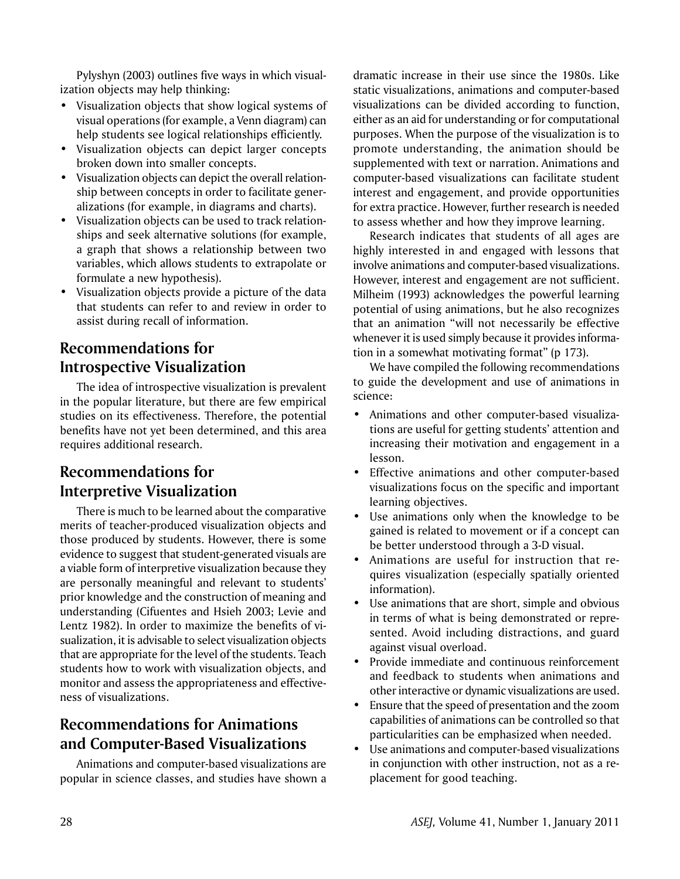Pylyshyn (2003) outlines five ways in which visualization objects may help thinking:

- Visualization objects that show logical systems of visual operations (for example, a Venn diagram) can help students see logical relationships efficiently.
- Visualization objects can depict larger concepts broken down into smaller concepts.
- Visualization objects can depict the overall relationship between concepts in order to facilitate generalizations (for example, in diagrams and charts).
- Visualization objects can be used to track relationships and seek alternative solutions (for example, a graph that shows a relationship between two variables, which allows students to extrapolate or formulate a new hypothesis).
- Visualization objects provide a picture of the data that students can refer to and review in order to assist during recall of information.

## **Recommendations for Introspective Visualization**

The idea of introspective visualization is prevalent in the popular literature, but there are few empirical studies on its effectiveness. Therefore, the potential benefits have not yet been determined, and this area requires additional research.

## **Recommendations for Interpretive Visualization**

There is much to be learned about the comparative merits of teacher-produced visualization objects and those produced by students. However, there is some evidence to suggest that student-generated visuals are a viable form of interpretive visualization because they are personally meaningful and relevant to students' prior knowledge and the construction of meaning and understanding (Cifuentes and Hsieh 2003; Levie and Lentz 1982). In order to maximize the benefits of visualization, it is advisable to select visualization objects that are appropriate for the level of the students. Teach students how to work with visualization objects, and monitor and assess the appropriateness and effectiveness of visualizations.

## **Recommendations for Animations and Computer-Based Visualizations**

Animations and computer-based visualizations are popular in science classes, and studies have shown a dramatic increase in their use since the 1980s. Like static visualizations, animations and computer-based visualizations can be divided according to function, either as an aid for understanding or for computational purposes. When the purpose of the visualization is to promote understanding, the animation should be supplemented with text or narration. Animations and computer-based visualizations can facilitate student interest and engagement, and provide opportunities for extra practice. However, further research is needed to assess whether and how they improve learning.

Research indicates that students of all ages are highly interested in and engaged with lessons that involve animations and computer-based visualizations. However, interest and engagement are not sufficient. Milheim (1993) acknowledges the powerful learning potential of using animations, but he also recognizes that an animation "will not necessarily be effective whenever it is used simply because it provides information in a somewhat motivating format" (p 173).

We have compiled the following recommendations to guide the development and use of animations in science:

- • Animations and other computer-based visualizations are useful for getting students' attention and increasing their motivation and engagement in a lesson.
- Effective animations and other computer-based visualizations focus on the specific and important learning objectives.
- Use animations only when the knowledge to be gained is related to movement or if a concept can be better understood through a 3-D visual.
- Animations are useful for instruction that requires visualization (especially spatially oriented information).
- Use animations that are short, simple and obvious in terms of what is being demonstrated or represented. Avoid including distractions, and guard against visual overload.
- Provide immediate and continuous reinforcement and feedback to students when animations and other interactive or dynamic visualizations are used.
- Ensure that the speed of presentation and the zoom capabilities of animations can be controlled so that particularities can be emphasized when needed.
- Use animations and computer-based visualizations in conjunction with other instruction, not as a replacement for good teaching.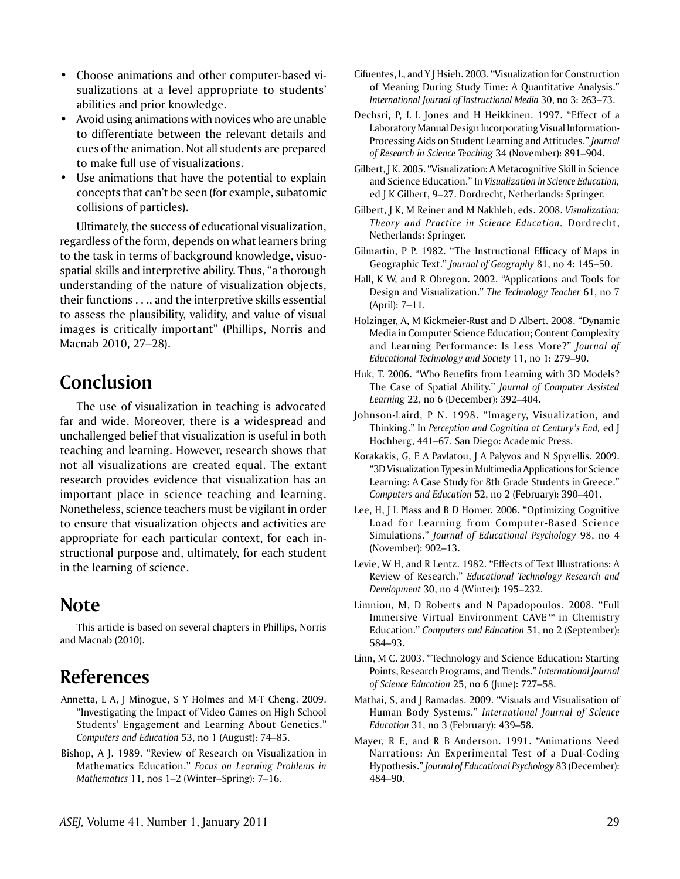- Choose animations and other computer-based visualizations at a level appropriate to students' abilities and prior knowledge.
- Avoid using animations with novices who are unable to differentiate between the relevant details and cues of the animation. Not all students are prepared to make full use of visualizations.
- Use animations that have the potential to explain concepts that can't be seen (for example, subatomic collisions of particles).

Ultimately, the success of educational visualization, regardless of the form, depends on what learners bring to the task in terms of background knowledge, visuospatial skills and interpretive ability. Thus, "a thorough understanding of the nature of visualization objects, their functions . . ., and the interpretive skills essential to assess the plausibility, validity, and value of visual images is critically important" (Phillips, Norris and Macnab 2010, 27–28).

## **Conclusion**

The use of visualization in teaching is advocated far and wide. Moreover, there is a widespread and unchallenged belief that visualization is useful in both teaching and learning. However, research shows that not all visualizations are created equal. The extant research provides evidence that visualization has an important place in science teaching and learning. Nonetheless, science teachers must be vigilant in order to ensure that visualization objects and activities are appropriate for each particular context, for each instructional purpose and, ultimately, for each student in the learning of science.

# **Note**

This article is based on several chapters in Phillips, Norris and Macnab (2010).

# **References**

- Annetta, L A, J Minogue, S Y Holmes and M-T Cheng. 2009. "Investigating the Impact of Video Games on High School Students' Engagement and Learning About Genetics." *Computers and Education* 53, no 1 (August): 74–85.
- Bishop, A J. 1989. "Review of Research on Visualization in Mathematics Education." *Focus on Learning Problems in Mathematics* 11, nos 1–2 (Winter–Spring): 7–16.
- Cifuentes, L, and Y J Hsieh. 2003. "Visualization for Construction of Meaning During Study Time: A Quantitative Analysis." *International Journal of Instructional Media* 30, no 3: 263–73.
- Dechsri, P, L L Jones and H Heikkinen. 1997. "Effect of a Laboratory Manual Design Incorporating Visual Information-Processing Aids on Student Learning and Attitudes." *Journal of Research in Science Teaching* 34 (November): 891–904.
- Gilbert, J K. 2005. "Visualization: A Metacognitive Skill in Science and Science Education." In *Visualization in Science Education,* ed J K Gilbert, 9–27. Dordrecht, Netherlands: Springer.
- Gilbert, J K, M Reiner and M Nakhleh, eds. 2008. *Visualization: Theory and Practice in Science Education.* Dordrecht, Netherlands: Springer.
- Gilmartin, P P. 1982. "The Instructional Efficacy of Maps in Geographic Text." *Journal of Geography* 81, no 4: 145–50.
- Hall, K W, and R Obregon. 2002. "Applications and Tools for Design and Visualization." *The Technology Teacher* 61, no 7 (April): 7–11.
- Holzinger, A, M Kickmeier-Rust and D Albert. 2008. "Dynamic Media in Computer Science Education; Content Complexity and Learning Performance: Is Less More?" *Journal of Educational Technology and Society* 11, no 1: 279–90.
- Huk, T. 2006. "Who Benefits from Learning with 3D Models? The Case of Spatial Ability." *Journal of Computer Assisted Learning* 22, no 6 (December): 392–404.
- Johnson-Laird, P N. 1998. "Imagery, Visualization, and Thinking." In *Perception and Cognition at Century's End,* ed J Hochberg, 441–67. San Diego: Academic Press.
- Korakakis, G, E A Pavlatou, J A Palyvos and N Spyrellis. 2009. "3D Visualization Types in Multimedia Applications for Science Learning: A Case Study for 8th Grade Students in Greece." *Computers and Education* 52, no 2 (February): 390–401.
- Lee, H, J L Plass and B D Homer. 2006. "Optimizing Cognitive Load for Learning from Computer-Based Science Simulations." *Journal of Educational Psychology* 98, no 4 (November): 902–13.
- Levie, W H, and R Lentz. 1982. "Effects of Text Illustrations: A Review of Research." *Educational Technology Research and Development* 30, no 4 (Winter): 195–232.
- Limniou, M, D Roberts and N Papadopoulos. 2008. "Full Immersive Virtual Environment CAVE™ in Chemistry Education." *Computers and Education* 51, no 2 (September): 584–93.
- Linn, M C. 2003. "Technology and Science Education: Starting Points, Research Programs, and Trends." *International Journal of Science Education* 25, no 6 (June): 727–58.
- Mathai, S, and J Ramadas. 2009. "Visuals and Visualisation of Human Body Systems." *International Journal of Science Education* 31, no 3 (February): 439–58.
- Mayer, R E, and R B Anderson. 1991. "Animations Need Narrations: An Experimental Test of a Dual-Coding Hypothesis." *Journal of Educational Psychology* 83 (December): 484–90.